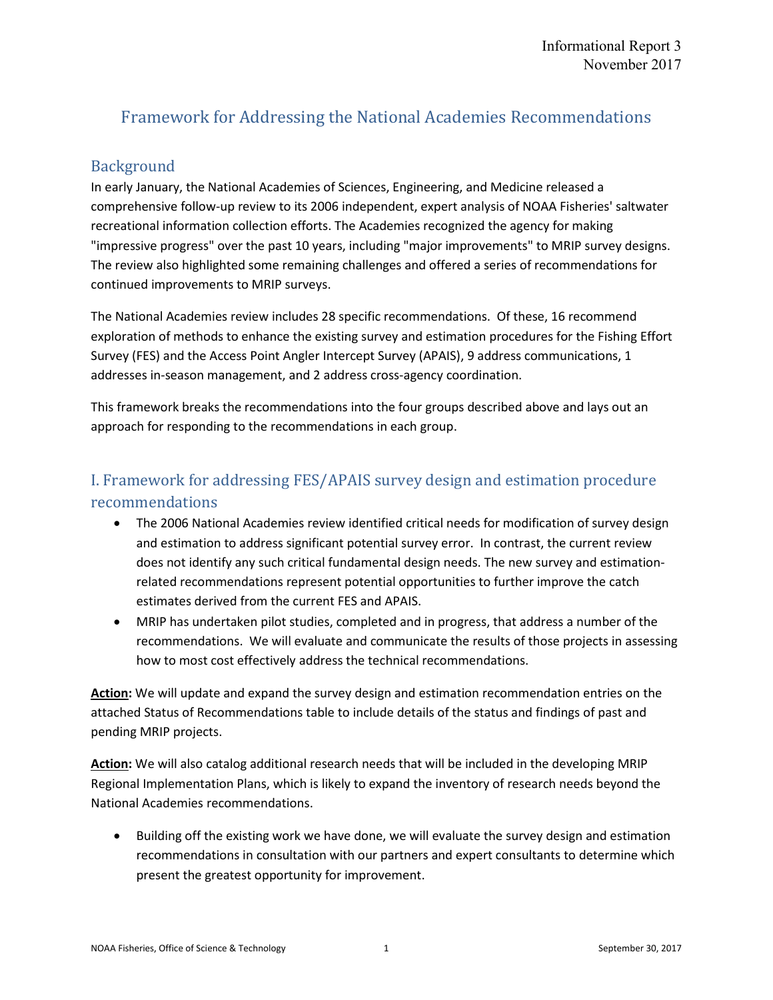# Framework for Addressing the National Academies Recommendations

### Background

In early January, the National Academies of Sciences, Engineering, and Medicine released a comprehensive follow-up review to its 2006 independent, expert analysis of NOAA Fisheries' saltwater recreational information collection efforts. The Academies recognized the agency for making "impressive progress" over the past 10 years, including "major improvements" to MRIP survey designs. The review also highlighted some remaining challenges and offered a series of recommendations for continued improvements to MRIP surveys.

The National Academies review includes 28 specific recommendations. Of these, 16 recommend exploration of methods to enhance the existing survey and estimation procedures for the Fishing Effort Survey (FES) and the Access Point Angler Intercept Survey (APAIS), 9 address communications, 1 addresses in-season management, and 2 address cross-agency coordination.

This framework breaks the recommendations into the four groups described above and lays out an approach for responding to the recommendations in each group.

## I. Framework for addressing FES/APAIS survey design and estimation procedure recommendations

- The 2006 National Academies review identified critical needs for modification of survey design and estimation to address significant potential survey error. In contrast, the current review does not identify any such critical fundamental design needs. The new survey and estimationrelated recommendations represent potential opportunities to further improve the catch estimates derived from the current FES and APAIS.
- MRIP has undertaken pilot studies, completed and in progress, that address a number of the recommendations. We will evaluate and communicate the results of those projects in assessing how to most cost effectively address the technical recommendations.

**Action:** We will update and expand the survey design and estimation recommendation entries on the attached Status of Recommendations table to include details of the status and findings of past and pending MRIP projects.

**Action:** We will also catalog additional research needs that will be included in the developing MRIP Regional Implementation Plans, which is likely to expand the inventory of research needs beyond the National Academies recommendations.

• Building off the existing work we have done, we will evaluate the survey design and estimation recommendations in consultation with our partners and expert consultants to determine which present the greatest opportunity for improvement.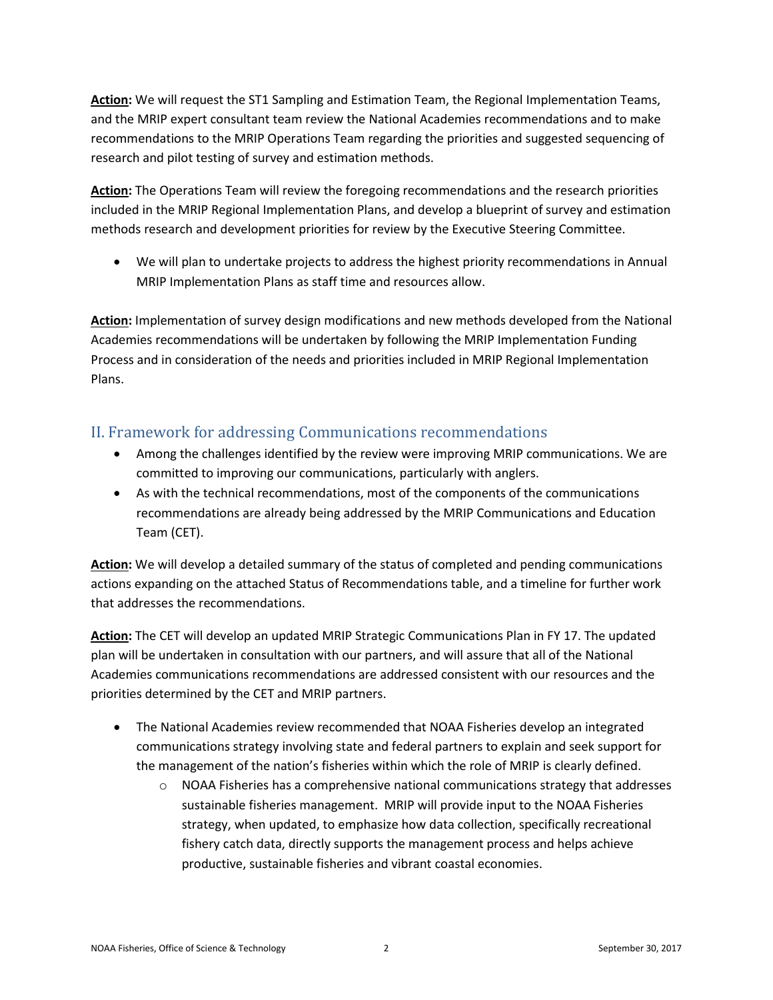**Action:** We will request the ST1 Sampling and Estimation Team, the Regional Implementation Teams, and the MRIP expert consultant team review the National Academies recommendations and to make recommendations to the MRIP Operations Team regarding the priorities and suggested sequencing of research and pilot testing of survey and estimation methods.

**Action:** The Operations Team will review the foregoing recommendations and the research priorities included in the MRIP Regional Implementation Plans, and develop a blueprint of survey and estimation methods research and development priorities for review by the Executive Steering Committee.

 We will plan to undertake projects to address the highest priority recommendations in Annual MRIP Implementation Plans as staff time and resources allow.

**Action:** Implementation of survey design modifications and new methods developed from the National Academies recommendations will be undertaken by following the MRIP Implementation Funding Process and in consideration of the needs and priorities included in MRIP Regional Implementation Plans.

### II. Framework for addressing Communications recommendations

- Among the challenges identified by the review were improving MRIP communications. We are committed to improving our communications, particularly with anglers.
- As with the technical recommendations, most of the components of the communications recommendations are already being addressed by the MRIP Communications and Education Team (CET).

**Action:** We will develop a detailed summary of the status of completed and pending communications actions expanding on the attached Status of Recommendations table, and a timeline for further work that addresses the recommendations.

**Action:** The CET will develop an updated MRIP Strategic Communications Plan in FY 17. The updated plan will be undertaken in consultation with our partners, and will assure that all of the National Academies communications recommendations are addressed consistent with our resources and the priorities determined by the CET and MRIP partners.

- The National Academies review recommended that NOAA Fisheries develop an integrated communications strategy involving state and federal partners to explain and seek support for the management of the nation's fisheries within which the role of MRIP is clearly defined.
	- $\circ$  NOAA Fisheries has a comprehensive national communications strategy that addresses sustainable fisheries management. MRIP will provide input to the NOAA Fisheries strategy, when updated, to emphasize how data collection, specifically recreational fishery catch data, directly supports the management process and helps achieve productive, sustainable fisheries and vibrant coastal economies.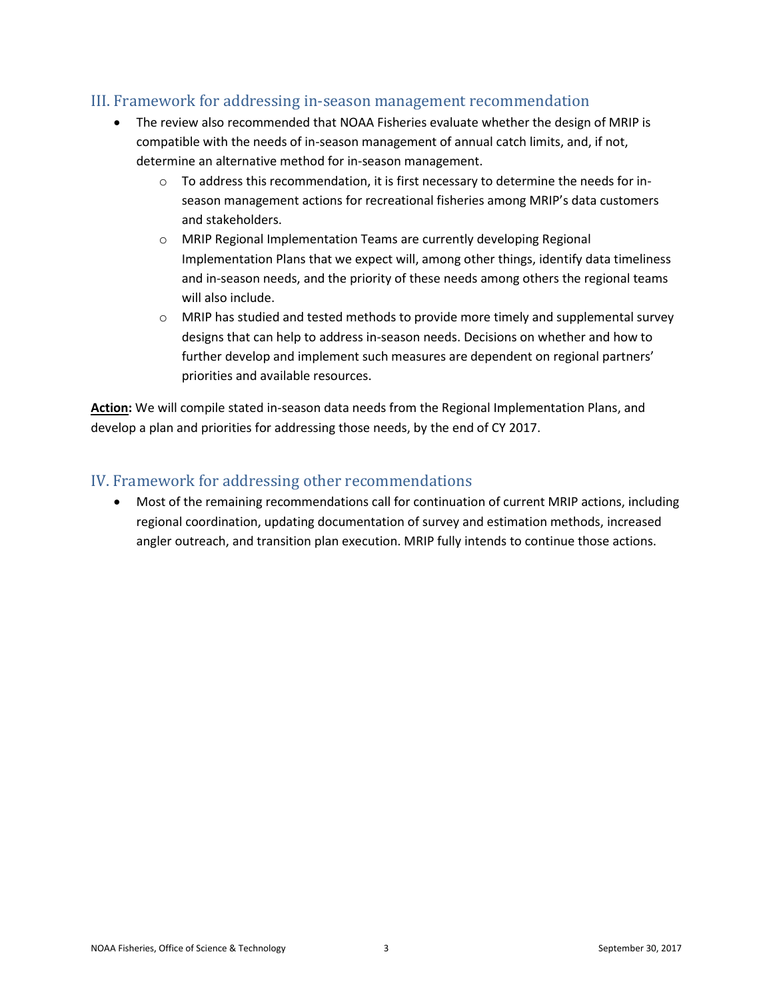#### III. Framework for addressing in-season management recommendation

- The review also recommended that NOAA Fisheries evaluate whether the design of MRIP is compatible with the needs of in-season management of annual catch limits, and, if not, determine an alternative method for in-season management.
	- $\circ$  To address this recommendation, it is first necessary to determine the needs for inseason management actions for recreational fisheries among MRIP's data customers and stakeholders.
	- o MRIP Regional Implementation Teams are currently developing Regional Implementation Plans that we expect will, among other things, identify data timeliness and in-season needs, and the priority of these needs among others the regional teams will also include.
	- $\circ$  MRIP has studied and tested methods to provide more timely and supplemental survey designs that can help to address in-season needs. Decisions on whether and how to further develop and implement such measures are dependent on regional partners' priorities and available resources.

**Action:** We will compile stated in-season data needs from the Regional Implementation Plans, and develop a plan and priorities for addressing those needs, by the end of CY 2017.

### IV. Framework for addressing other recommendations

 Most of the remaining recommendations call for continuation of current MRIP actions, including regional coordination, updating documentation of survey and estimation methods, increased angler outreach, and transition plan execution. MRIP fully intends to continue those actions.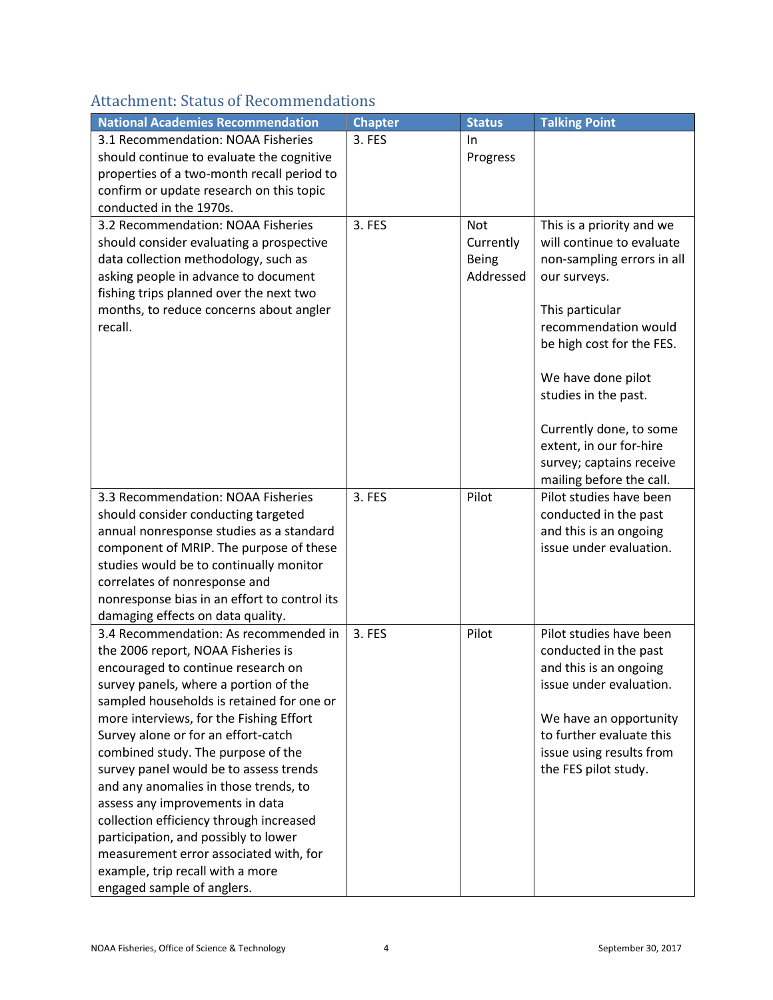## Attachment: Status of Recommendations

| <b>National Academies Recommendation</b>     | <b>Chapter</b> | <b>Status</b> | <b>Talking Point</b>       |
|----------------------------------------------|----------------|---------------|----------------------------|
| 3.1 Recommendation: NOAA Fisheries           | 3. FES         | In.           |                            |
| should continue to evaluate the cognitive    |                | Progress      |                            |
| properties of a two-month recall period to   |                |               |                            |
| confirm or update research on this topic     |                |               |                            |
| conducted in the 1970s.                      |                |               |                            |
| 3.2 Recommendation: NOAA Fisheries           | 3. FES         | <b>Not</b>    | This is a priority and we  |
| should consider evaluating a prospective     |                | Currently     | will continue to evaluate  |
| data collection methodology, such as         |                | <b>Being</b>  | non-sampling errors in all |
| asking people in advance to document         |                | Addressed     | our surveys.               |
| fishing trips planned over the next two      |                |               |                            |
| months, to reduce concerns about angler      |                |               | This particular            |
| recall.                                      |                |               | recommendation would       |
|                                              |                |               | be high cost for the FES.  |
|                                              |                |               |                            |
|                                              |                |               | We have done pilot         |
|                                              |                |               | studies in the past.       |
|                                              |                |               |                            |
|                                              |                |               | Currently done, to some    |
|                                              |                |               | extent, in our for-hire    |
|                                              |                |               | survey; captains receive   |
|                                              |                |               | mailing before the call.   |
| 3.3 Recommendation: NOAA Fisheries           | 3. FES         | Pilot         | Pilot studies have been    |
| should consider conducting targeted          |                |               | conducted in the past      |
| annual nonresponse studies as a standard     |                |               | and this is an ongoing     |
| component of MRIP. The purpose of these      |                |               | issue under evaluation.    |
| studies would be to continually monitor      |                |               |                            |
| correlates of nonresponse and                |                |               |                            |
| nonresponse bias in an effort to control its |                |               |                            |
| damaging effects on data quality.            |                |               |                            |
| 3.4 Recommendation: As recommended in        | 3. FES         | Pilot         | Pilot studies have been    |
| the 2006 report, NOAA Fisheries is           |                |               | conducted in the past      |
| encouraged to continue research on           |                |               | and this is an ongoing     |
| survey panels, where a portion of the        |                |               | issue under evaluation.    |
| sampled households is retained for one or    |                |               |                            |
| more interviews, for the Fishing Effort      |                |               | We have an opportunity     |
| Survey alone or for an effort-catch          |                |               | to further evaluate this   |
| combined study. The purpose of the           |                |               | issue using results from   |
| survey panel would be to assess trends       |                |               | the FES pilot study.       |
| and any anomalies in those trends, to        |                |               |                            |
| assess any improvements in data              |                |               |                            |
| collection efficiency through increased      |                |               |                            |
| participation, and possibly to lower         |                |               |                            |
| measurement error associated with, for       |                |               |                            |
| example, trip recall with a more             |                |               |                            |
| engaged sample of anglers.                   |                |               |                            |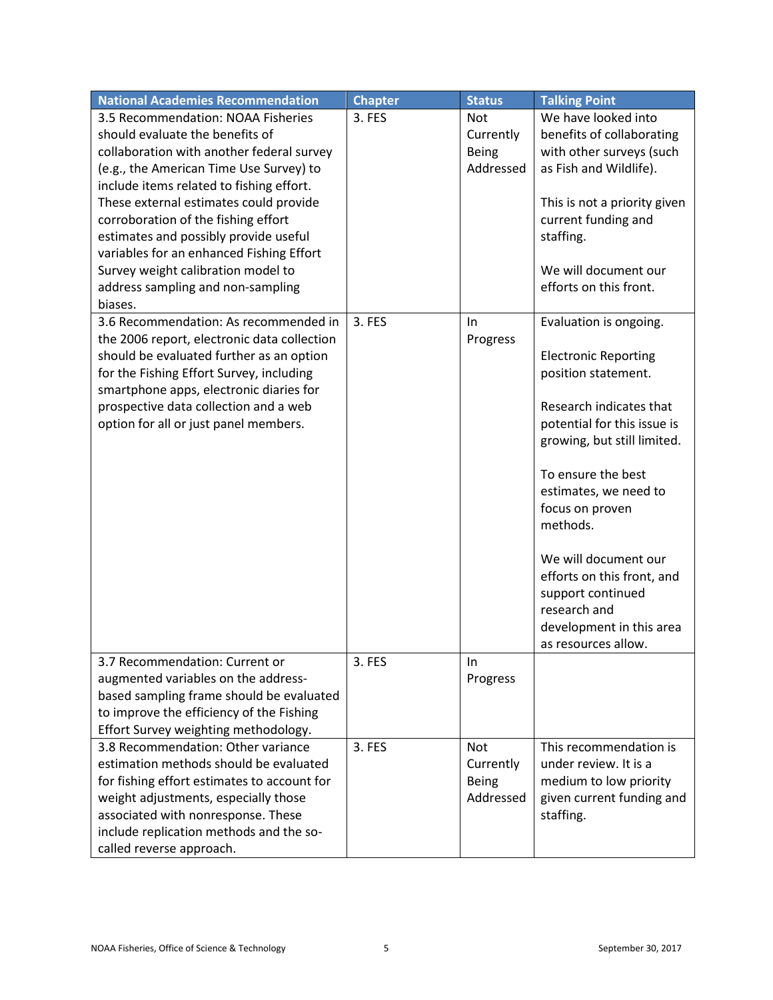| <b>National Academies Recommendation</b>    | <b>Chapter</b> | <b>Status</b> | <b>Talking Point</b>         |
|---------------------------------------------|----------------|---------------|------------------------------|
| 3.5 Recommendation: NOAA Fisheries          | 3. FES         | <b>Not</b>    | We have looked into          |
| should evaluate the benefits of             |                | Currently     | benefits of collaborating    |
| collaboration with another federal survey   |                | <b>Being</b>  | with other surveys (such     |
| (e.g., the American Time Use Survey) to     |                | Addressed     | as Fish and Wildlife).       |
| include items related to fishing effort.    |                |               |                              |
| These external estimates could provide      |                |               | This is not a priority given |
| corroboration of the fishing effort         |                |               | current funding and          |
| estimates and possibly provide useful       |                |               | staffing.                    |
| variables for an enhanced Fishing Effort    |                |               |                              |
| Survey weight calibration model to          |                |               | We will document our         |
| address sampling and non-sampling           |                |               | efforts on this front.       |
| biases.                                     |                |               |                              |
| 3.6 Recommendation: As recommended in       | 3. FES         | In            | Evaluation is ongoing.       |
| the 2006 report, electronic data collection |                | Progress      |                              |
| should be evaluated further as an option    |                |               | <b>Electronic Reporting</b>  |
| for the Fishing Effort Survey, including    |                |               | position statement.          |
| smartphone apps, electronic diaries for     |                |               | Research indicates that      |
| prospective data collection and a web       |                |               | potential for this issue is  |
| option for all or just panel members.       |                |               | growing, but still limited.  |
|                                             |                |               |                              |
|                                             |                |               | To ensure the best           |
|                                             |                |               | estimates, we need to        |
|                                             |                |               | focus on proven              |
|                                             |                |               | methods.                     |
|                                             |                |               |                              |
|                                             |                |               | We will document our         |
|                                             |                |               | efforts on this front, and   |
|                                             |                |               | support continued            |
|                                             |                |               | research and                 |
|                                             |                |               | development in this area     |
|                                             |                |               | as resources allow.          |
| 3.7 Recommendation: Current or              | 3. FES         | In            |                              |
| augmented variables on the address-         |                | Progress      |                              |
| based sampling frame should be evaluated    |                |               |                              |
| to improve the efficiency of the Fishing    |                |               |                              |
| Effort Survey weighting methodology.        |                |               |                              |
| 3.8 Recommendation: Other variance          | 3. FES         | <b>Not</b>    | This recommendation is       |
| estimation methods should be evaluated      |                | Currently     | under review. It is a        |
| for fishing effort estimates to account for |                | <b>Being</b>  | medium to low priority       |
| weight adjustments, especially those        |                | Addressed     | given current funding and    |
| associated with nonresponse. These          |                |               | staffing.                    |
| include replication methods and the so-     |                |               |                              |
| called reverse approach.                    |                |               |                              |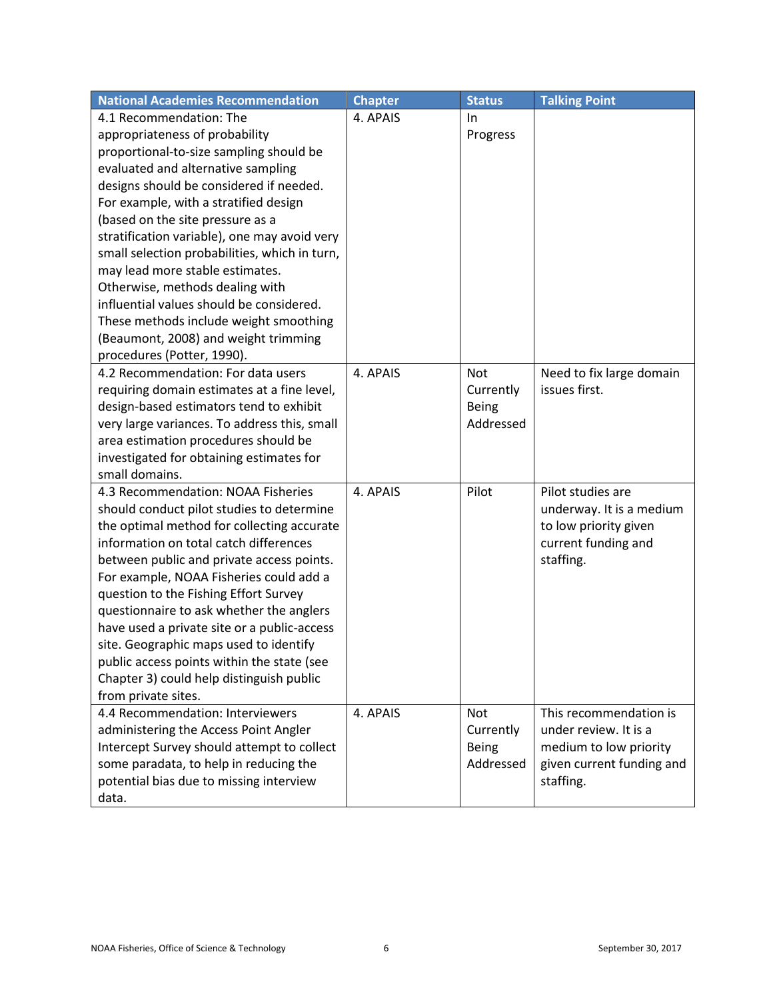| <b>National Academies Recommendation</b>      | <b>Chapter</b> | <b>Status</b> | <b>Talking Point</b>      |
|-----------------------------------------------|----------------|---------------|---------------------------|
| 4.1 Recommendation: The                       | 4. APAIS       | In.           |                           |
| appropriateness of probability                |                | Progress      |                           |
| proportional-to-size sampling should be       |                |               |                           |
| evaluated and alternative sampling            |                |               |                           |
| designs should be considered if needed.       |                |               |                           |
| For example, with a stratified design         |                |               |                           |
| (based on the site pressure as a              |                |               |                           |
| stratification variable), one may avoid very  |                |               |                           |
| small selection probabilities, which in turn, |                |               |                           |
| may lead more stable estimates.               |                |               |                           |
| Otherwise, methods dealing with               |                |               |                           |
| influential values should be considered.      |                |               |                           |
| These methods include weight smoothing        |                |               |                           |
| (Beaumont, 2008) and weight trimming          |                |               |                           |
| procedures (Potter, 1990).                    |                |               |                           |
| 4.2 Recommendation: For data users            | 4. APAIS       | Not           | Need to fix large domain  |
| requiring domain estimates at a fine level,   |                | Currently     | issues first.             |
| design-based estimators tend to exhibit       |                | <b>Being</b>  |                           |
| very large variances. To address this, small  |                | Addressed     |                           |
| area estimation procedures should be          |                |               |                           |
| investigated for obtaining estimates for      |                |               |                           |
| small domains.                                |                |               |                           |
| 4.3 Recommendation: NOAA Fisheries            | 4. APAIS       | Pilot         | Pilot studies are         |
| should conduct pilot studies to determine     |                |               | underway. It is a medium  |
| the optimal method for collecting accurate    |                |               | to low priority given     |
| information on total catch differences        |                |               | current funding and       |
| between public and private access points.     |                |               | staffing.                 |
| For example, NOAA Fisheries could add a       |                |               |                           |
| question to the Fishing Effort Survey         |                |               |                           |
| questionnaire to ask whether the anglers      |                |               |                           |
| have used a private site or a public-access   |                |               |                           |
| site. Geographic maps used to identify        |                |               |                           |
| public access points within the state (see    |                |               |                           |
| Chapter 3) could help distinguish public      |                |               |                           |
| from private sites.                           |                |               |                           |
| 4.4 Recommendation: Interviewers              | 4. APAIS       | <b>Not</b>    | This recommendation is    |
| administering the Access Point Angler         |                | Currently     | under review. It is a     |
| Intercept Survey should attempt to collect    |                | <b>Being</b>  | medium to low priority    |
| some paradata, to help in reducing the        |                | Addressed     | given current funding and |
| potential bias due to missing interview       |                |               | staffing.                 |
| data.                                         |                |               |                           |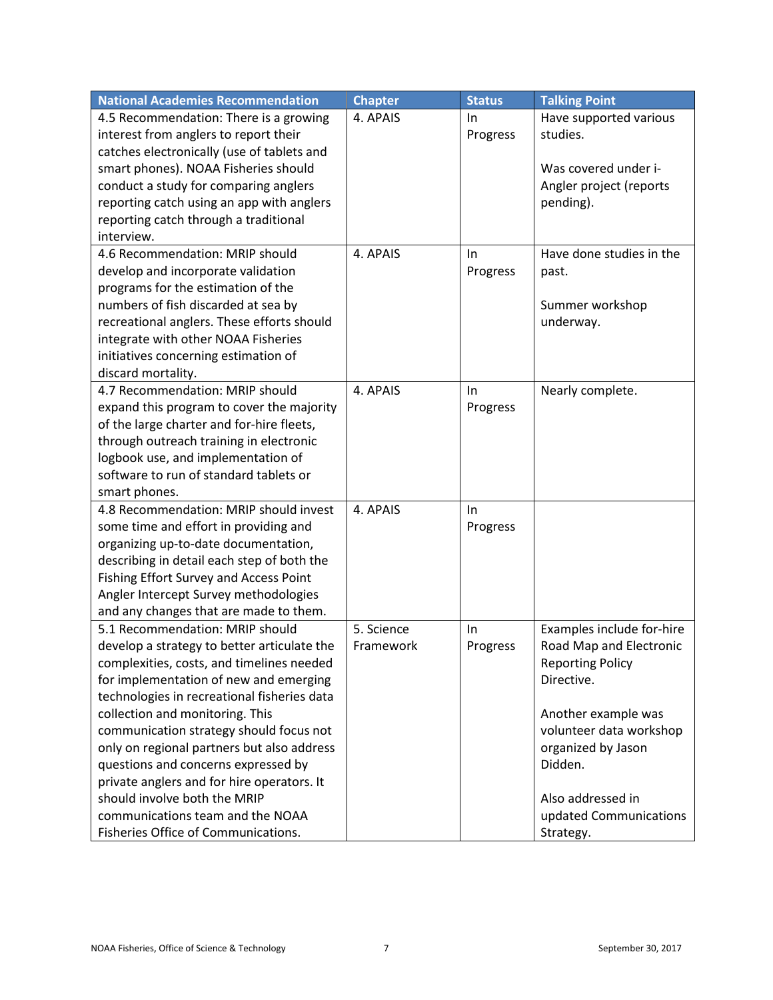| <b>National Academies Recommendation</b>    | <b>Chapter</b> | <b>Status</b> | <b>Talking Point</b>      |
|---------------------------------------------|----------------|---------------|---------------------------|
| 4.5 Recommendation: There is a growing      | 4. APAIS       | In.           | Have supported various    |
| interest from anglers to report their       |                | Progress      | studies.                  |
| catches electronically (use of tablets and  |                |               |                           |
| smart phones). NOAA Fisheries should        |                |               | Was covered under i-      |
| conduct a study for comparing anglers       |                |               | Angler project (reports   |
| reporting catch using an app with anglers   |                |               | pending).                 |
| reporting catch through a traditional       |                |               |                           |
| interview.                                  |                |               |                           |
| 4.6 Recommendation: MRIP should             | 4. APAIS       | In.           | Have done studies in the  |
| develop and incorporate validation          |                | Progress      | past.                     |
| programs for the estimation of the          |                |               |                           |
| numbers of fish discarded at sea by         |                |               | Summer workshop           |
| recreational anglers. These efforts should  |                |               | underway.                 |
| integrate with other NOAA Fisheries         |                |               |                           |
| initiatives concerning estimation of        |                |               |                           |
| discard mortality.                          |                |               |                           |
| 4.7 Recommendation: MRIP should             | 4. APAIS       | In            | Nearly complete.          |
| expand this program to cover the majority   |                | Progress      |                           |
| of the large charter and for-hire fleets,   |                |               |                           |
| through outreach training in electronic     |                |               |                           |
| logbook use, and implementation of          |                |               |                           |
| software to run of standard tablets or      |                |               |                           |
| smart phones.                               |                |               |                           |
| 4.8 Recommendation: MRIP should invest      | 4. APAIS       | In.           |                           |
| some time and effort in providing and       |                | Progress      |                           |
| organizing up-to-date documentation,        |                |               |                           |
| describing in detail each step of both the  |                |               |                           |
| Fishing Effort Survey and Access Point      |                |               |                           |
| Angler Intercept Survey methodologies       |                |               |                           |
| and any changes that are made to them.      |                |               |                           |
| 5.1 Recommendation: MRIP should             | 5. Science     | $\ln$         | Examples include for-hire |
| develop a strategy to better articulate the | Framework      | Progress      | Road Map and Electronic   |
| complexities, costs, and timelines needed   |                |               | <b>Reporting Policy</b>   |
| for implementation of new and emerging      |                |               | Directive.                |
| technologies in recreational fisheries data |                |               |                           |
| collection and monitoring. This             |                |               | Another example was       |
| communication strategy should focus not     |                |               | volunteer data workshop   |
| only on regional partners but also address  |                |               | organized by Jason        |
| questions and concerns expressed by         |                |               | Didden.                   |
| private anglers and for hire operators. It  |                |               |                           |
| should involve both the MRIP                |                |               | Also addressed in         |
| communications team and the NOAA            |                |               | updated Communications    |
| Fisheries Office of Communications.         |                |               | Strategy.                 |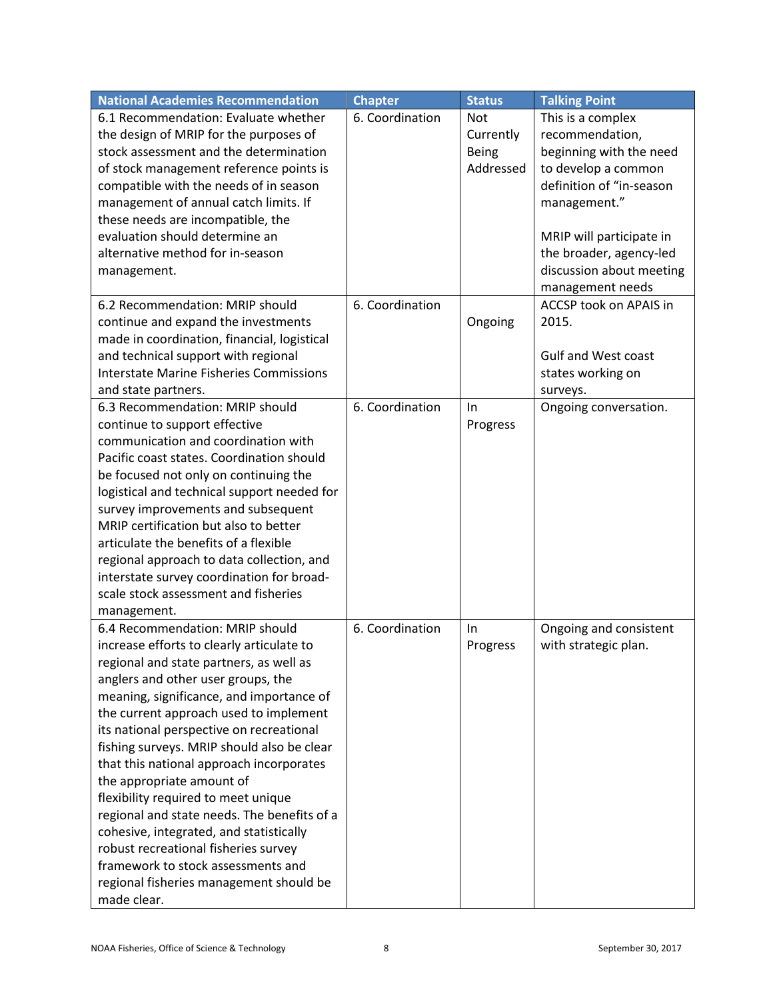| <b>National Academies Recommendation</b>       | <b>Chapter</b>  | <b>Status</b> | <b>Talking Point</b>       |
|------------------------------------------------|-----------------|---------------|----------------------------|
| 6.1 Recommendation: Evaluate whether           | 6. Coordination | <b>Not</b>    | This is a complex          |
| the design of MRIP for the purposes of         |                 | Currently     | recommendation,            |
| stock assessment and the determination         |                 | <b>Being</b>  | beginning with the need    |
| of stock management reference points is        |                 | Addressed     | to develop a common        |
| compatible with the needs of in season         |                 |               | definition of "in-season   |
| management of annual catch limits. If          |                 |               | management."               |
| these needs are incompatible, the              |                 |               |                            |
| evaluation should determine an                 |                 |               | MRIP will participate in   |
| alternative method for in-season               |                 |               | the broader, agency-led    |
| management.                                    |                 |               | discussion about meeting   |
|                                                |                 |               | management needs           |
| 6.2 Recommendation: MRIP should                | 6. Coordination |               | ACCSP took on APAIS in     |
| continue and expand the investments            |                 | Ongoing       | 2015.                      |
| made in coordination, financial, logistical    |                 |               |                            |
| and technical support with regional            |                 |               | <b>Gulf and West coast</b> |
| <b>Interstate Marine Fisheries Commissions</b> |                 |               | states working on          |
| and state partners.                            |                 |               | surveys.                   |
| 6.3 Recommendation: MRIP should                | 6. Coordination | In            | Ongoing conversation.      |
| continue to support effective                  |                 | Progress      |                            |
| communication and coordination with            |                 |               |                            |
| Pacific coast states. Coordination should      |                 |               |                            |
| be focused not only on continuing the          |                 |               |                            |
| logistical and technical support needed for    |                 |               |                            |
| survey improvements and subsequent             |                 |               |                            |
| MRIP certification but also to better          |                 |               |                            |
| articulate the benefits of a flexible          |                 |               |                            |
| regional approach to data collection, and      |                 |               |                            |
| interstate survey coordination for broad-      |                 |               |                            |
| scale stock assessment and fisheries           |                 |               |                            |
| management.                                    |                 |               |                            |
| 6.4 Recommendation: MRIP should                | 6. Coordination | In            | Ongoing and consistent     |
| increase efforts to clearly articulate to      |                 | Progress      | with strategic plan.       |
| regional and state partners, as well as        |                 |               |                            |
| anglers and other user groups, the             |                 |               |                            |
| meaning, significance, and importance of       |                 |               |                            |
| the current approach used to implement         |                 |               |                            |
| its national perspective on recreational       |                 |               |                            |
| fishing surveys. MRIP should also be clear     |                 |               |                            |
| that this national approach incorporates       |                 |               |                            |
| the appropriate amount of                      |                 |               |                            |
| flexibility required to meet unique            |                 |               |                            |
| regional and state needs. The benefits of a    |                 |               |                            |
| cohesive, integrated, and statistically        |                 |               |                            |
| robust recreational fisheries survey           |                 |               |                            |
| framework to stock assessments and             |                 |               |                            |
| regional fisheries management should be        |                 |               |                            |
| made clear.                                    |                 |               |                            |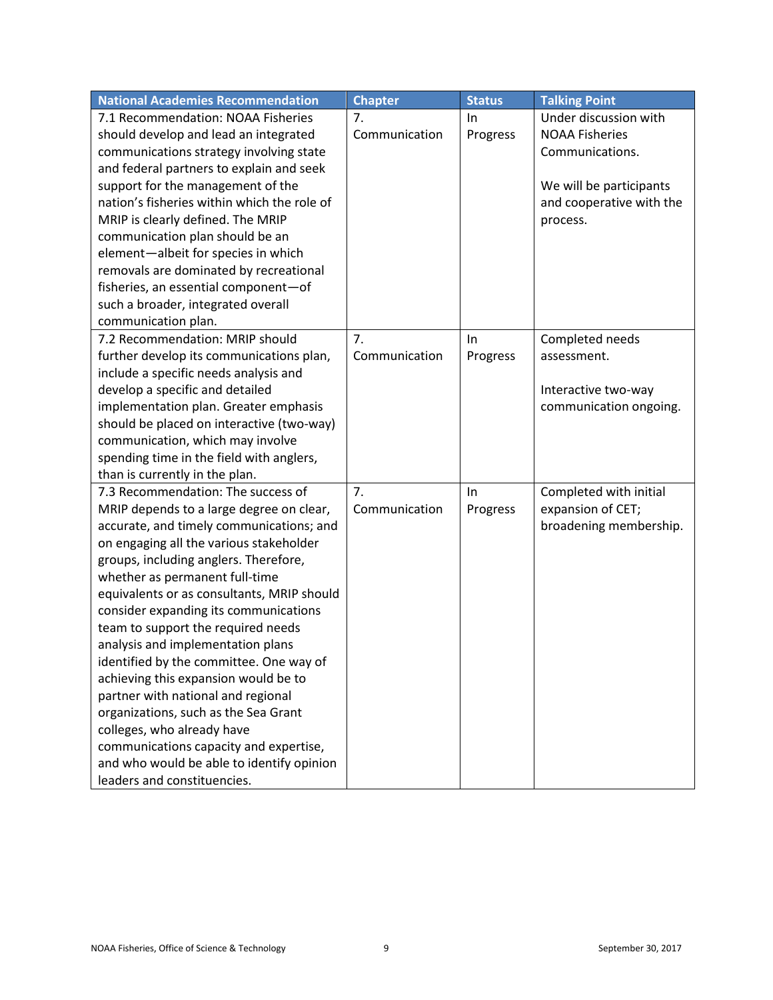| <b>National Academies Recommendation</b>    | <b>Chapter</b> | <b>Status</b> | <b>Talking Point</b>     |
|---------------------------------------------|----------------|---------------|--------------------------|
| 7.1 Recommendation: NOAA Fisheries          | 7.             | In            | Under discussion with    |
| should develop and lead an integrated       | Communication  | Progress      | <b>NOAA Fisheries</b>    |
| communications strategy involving state     |                |               | Communications.          |
| and federal partners to explain and seek    |                |               |                          |
| support for the management of the           |                |               | We will be participants  |
| nation's fisheries within which the role of |                |               | and cooperative with the |
| MRIP is clearly defined. The MRIP           |                |               | process.                 |
| communication plan should be an             |                |               |                          |
| element-albeit for species in which         |                |               |                          |
| removals are dominated by recreational      |                |               |                          |
| fisheries, an essential component-of        |                |               |                          |
| such a broader, integrated overall          |                |               |                          |
| communication plan.                         |                |               |                          |
| 7.2 Recommendation: MRIP should             | 7.             | In            | Completed needs          |
| further develop its communications plan,    | Communication  | Progress      | assessment.              |
| include a specific needs analysis and       |                |               |                          |
| develop a specific and detailed             |                |               | Interactive two-way      |
| implementation plan. Greater emphasis       |                |               | communication ongoing.   |
| should be placed on interactive (two-way)   |                |               |                          |
| communication, which may involve            |                |               |                          |
| spending time in the field with anglers,    |                |               |                          |
| than is currently in the plan.              |                |               |                          |
| 7.3 Recommendation: The success of          | 7.             | In            | Completed with initial   |
| MRIP depends to a large degree on clear,    | Communication  | Progress      | expansion of CET;        |
| accurate, and timely communications; and    |                |               | broadening membership.   |
| on engaging all the various stakeholder     |                |               |                          |
| groups, including anglers. Therefore,       |                |               |                          |
| whether as permanent full-time              |                |               |                          |
| equivalents or as consultants, MRIP should  |                |               |                          |
| consider expanding its communications       |                |               |                          |
| team to support the required needs          |                |               |                          |
| analysis and implementation plans           |                |               |                          |
| identified by the committee. One way of     |                |               |                          |
| achieving this expansion would be to        |                |               |                          |
| partner with national and regional          |                |               |                          |
| organizations, such as the Sea Grant        |                |               |                          |
| colleges, who already have                  |                |               |                          |
| communications capacity and expertise,      |                |               |                          |
| and who would be able to identify opinion   |                |               |                          |
| leaders and constituencies.                 |                |               |                          |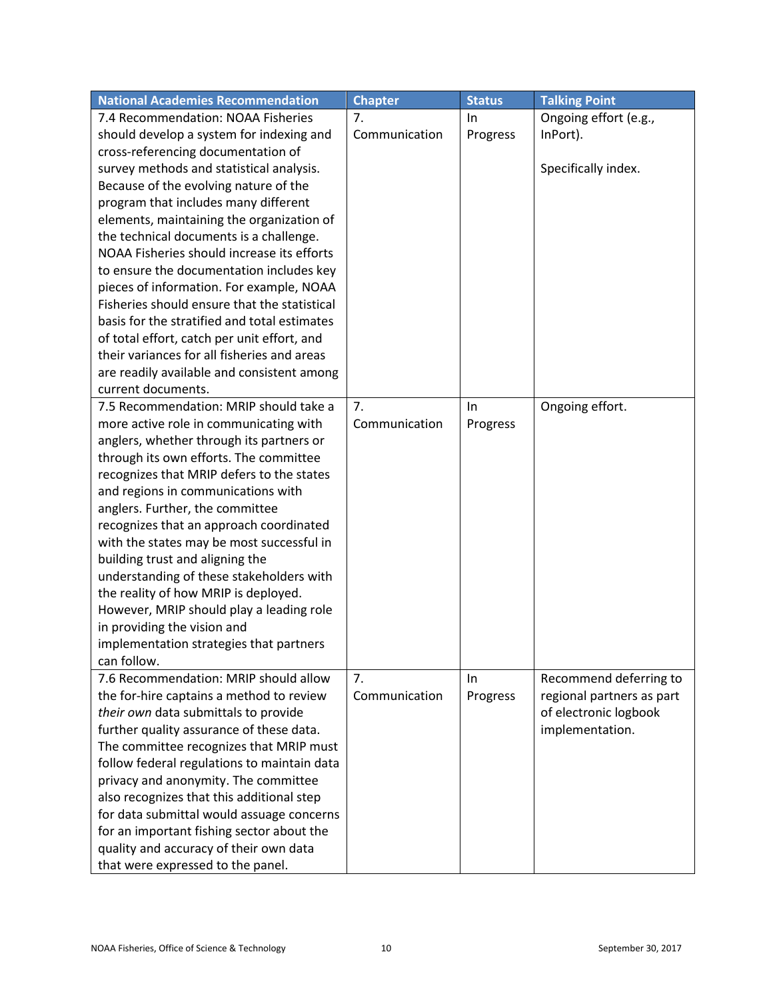| <b>National Academies Recommendation</b>     | <b>Chapter</b> | <b>Status</b> | <b>Talking Point</b>      |
|----------------------------------------------|----------------|---------------|---------------------------|
| 7.4 Recommendation: NOAA Fisheries           | 7.             | In.           | Ongoing effort (e.g.,     |
| should develop a system for indexing and     | Communication  | Progress      | InPort).                  |
| cross-referencing documentation of           |                |               |                           |
| survey methods and statistical analysis.     |                |               | Specifically index.       |
| Because of the evolving nature of the        |                |               |                           |
| program that includes many different         |                |               |                           |
| elements, maintaining the organization of    |                |               |                           |
| the technical documents is a challenge.      |                |               |                           |
| NOAA Fisheries should increase its efforts   |                |               |                           |
| to ensure the documentation includes key     |                |               |                           |
| pieces of information. For example, NOAA     |                |               |                           |
| Fisheries should ensure that the statistical |                |               |                           |
| basis for the stratified and total estimates |                |               |                           |
| of total effort, catch per unit effort, and  |                |               |                           |
| their variances for all fisheries and areas  |                |               |                           |
| are readily available and consistent among   |                |               |                           |
| current documents.                           |                |               |                           |
| 7.5 Recommendation: MRIP should take a       | 7.             | In            | Ongoing effort.           |
| more active role in communicating with       | Communication  | Progress      |                           |
| anglers, whether through its partners or     |                |               |                           |
| through its own efforts. The committee       |                |               |                           |
| recognizes that MRIP defers to the states    |                |               |                           |
| and regions in communications with           |                |               |                           |
| anglers. Further, the committee              |                |               |                           |
| recognizes that an approach coordinated      |                |               |                           |
| with the states may be most successful in    |                |               |                           |
| building trust and aligning the              |                |               |                           |
| understanding of these stakeholders with     |                |               |                           |
| the reality of how MRIP is deployed.         |                |               |                           |
| However, MRIP should play a leading role     |                |               |                           |
| in providing the vision and                  |                |               |                           |
| implementation strategies that partners      |                |               |                           |
| can follow.                                  |                |               |                           |
| 7.6 Recommendation: MRIP should allow        | 7.             | In.           | Recommend deferring to    |
| the for-hire captains a method to review     | Communication  | Progress      | regional partners as part |
| their own data submittals to provide         |                |               | of electronic logbook     |
| further quality assurance of these data.     |                |               | implementation.           |
| The committee recognizes that MRIP must      |                |               |                           |
| follow federal regulations to maintain data  |                |               |                           |
| privacy and anonymity. The committee         |                |               |                           |
| also recognizes that this additional step    |                |               |                           |
| for data submittal would assuage concerns    |                |               |                           |
| for an important fishing sector about the    |                |               |                           |
| quality and accuracy of their own data       |                |               |                           |
| that were expressed to the panel.            |                |               |                           |